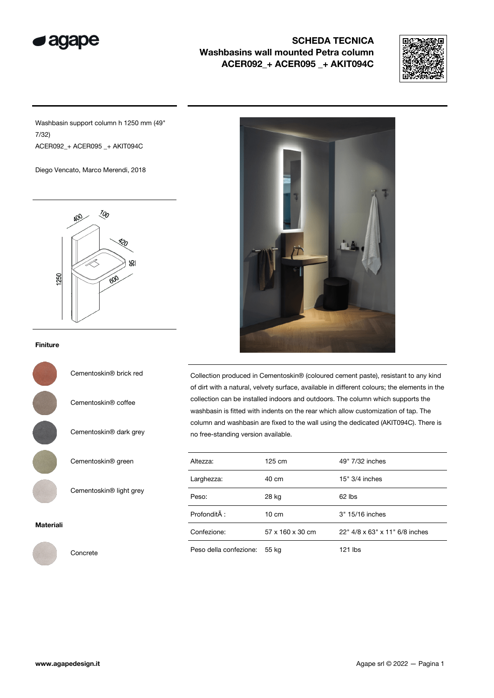

## SCHEDA TECNICA Washbasins wall mounted Petra column ACER092\_+ ACER095 \_+ AKIT094C



Washbasin support column h 1250 mm (49" 7/32) ACER092\_+ ACER095 \_+ AKIT094C

Diego Vencato, Marco Merendi, 2018



## Finiture



Cementoskin® brick red

Cementoskin® coffee

Cementoskin® dark grey

Cementoskin® green

Cementoskin® light grey

## Materiali



Concrete



Collection produced in Cementoskin® (coloured cement paste), resistant to any kind of dirt with a natural, velvety surface, available in different colours; the elements in the collection can be installed indoors and outdoors. The column which supports the washbasin is fitted with indents on the rear which allow customization of tap. The column and washbasin are fixed to the wall using the dedicated (AKIT094C). There is no free-standing version available.

| Altezza:               | 125 cm           | 49" 7/32 inches                |
|------------------------|------------------|--------------------------------|
| Larghezza:             | 40 cm            | $15" 3/4$ inches               |
| Peso:                  | 28 kg            | $62$ lbs                       |
| ProfonditÃ:            | $10 \text{ cm}$  | 3" 15/16 inches                |
| Confezione:            | 57 x 160 x 30 cm | 22" 4/8 x 63" x 11" 6/8 inches |
| Peso della confezione: | 55 kg            | 121 lbs                        |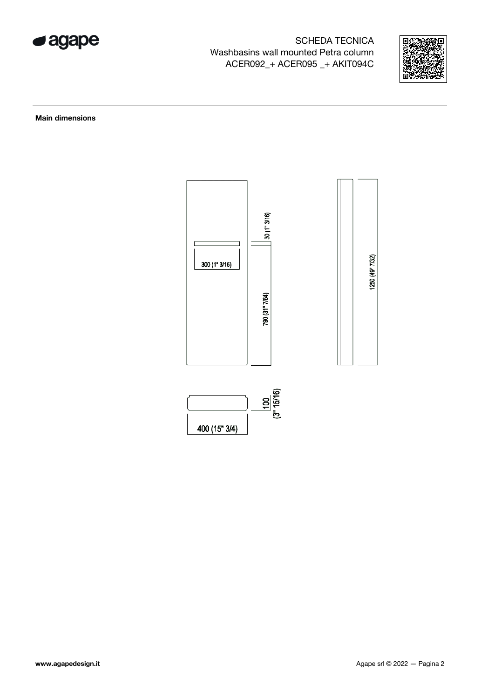

SCHEDA TECNICA Washbasins wall mounted Petra column ACER092\_+ ACER095 \_+ AKIT094C



Main dimensions